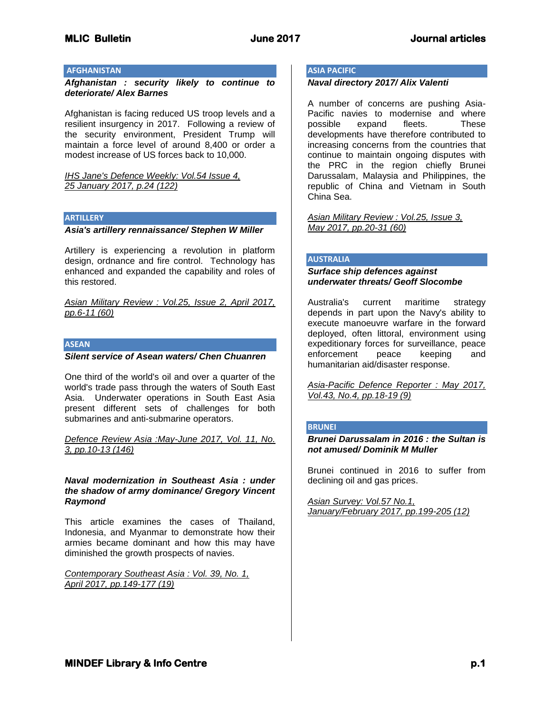# **AFGHANISTAN**

*Afghanistan : security likely to continue to deteriorate/ Alex Barnes*

Afghanistan is facing reduced US troop levels and a resilient insurgency in 2017. Following a review of the security environment, President Trump will maintain a force level of around 8,400 or order a modest increase of US forces back to 10,000.

*IHS Jane's Defence Weekly: Vol.54 Issue 4, 25 January 2017, p.24 (122)*

#### **ARTILLERY**

# *Asia's artillery rennaissance/ Stephen W Miller*

Artillery is experiencing a revolution in platform design, ordnance and fire control. Technology has enhanced and expanded the capability and roles of this restored.

*Asian Military Review : Vol.25, Issue 2, April 2017, pp.6-11 (60)*

#### **ASEAN**

#### *Silent service of Asean waters/ Chen Chuanren*

One third of the world's oil and over a quarter of the world's trade pass through the waters of South East Asia. Underwater operations in South East Asia present different sets of challenges for both submarines and anti-submarine operators.

#### *Defence Review Asia :May-June 2017, Vol. 11, No. 3, pp.10-13 (146)*

#### *Naval modernization in Southeast Asia : under the shadow of army dominance/ Gregory Vincent Raymond*

This article examines the cases of Thailand, Indonesia, and Myanmar to demonstrate how their armies became dominant and how this may have diminished the growth prospects of navies.

*Contemporary Southeast Asia : Vol. 39, No. 1, April 2017, pp.149-177 (19)*

# **ASIA PACIFIC**

#### *Naval directory 2017/ Alix Valenti*

A number of concerns are pushing Asia-Pacific navies to modernise and where possible expand fleets. These developments have therefore contributed to increasing concerns from the countries that continue to maintain ongoing disputes with the PRC in the region chiefly Brunei Darussalam, Malaysia and Philippines, the republic of China and Vietnam in South China Sea.

*Asian Military Review : Vol.25, Issue 3, May 2017, pp.20-31 (60)*

#### **AUSTRALIA**

# *Surface ship defences against underwater threats/ Geoff Slocombe*

Australia's current maritime strategy depends in part upon the Navy's ability to execute manoeuvre warfare in the forward deployed, often littoral, environment using expeditionary forces for surveillance, peace enforcement peace keeping and humanitarian aid/disaster response.

*Asia-Pacific Defence Reporter : May 2017, Vol.43, No.4, pp.18-19 (9)*

#### **BRUNEI**

*Brunei Darussalam in 2016 : the Sultan is not amused/ Dominik M Muller* 

Brunei continued in 2016 to suffer from declining oil and gas prices.

*Asian Survey: Vol.57 No.1, January/February 2017, pp.199-205 (12)*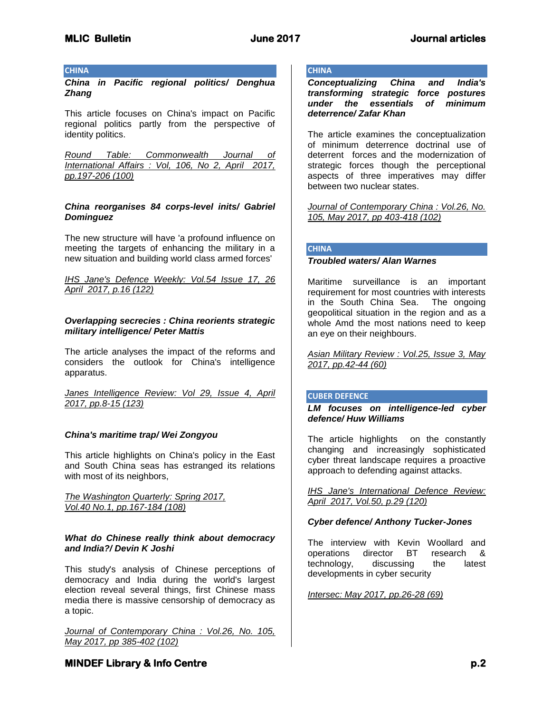#### **CHINA**

*China in Pacific regional politics/ Denghua Zhang*

This article focuses on China's impact on Pacific regional politics partly from the perspective of identity politics.

*Round Table: Commonwealth Journal of International Affairs : Vol, 106, No 2, April 2017, pp.197-206 (100)*

# *China reorganises 84 corps-level inits/ Gabriel Dominguez*

The new structure will have 'a profound influence on meeting the targets of enhancing the military in a new situation and building world class armed forces'

*IHS Jane's Defence Weekly: Vol.54 Issue 17, 26 April 2017, p.16 (122)*

# *Overlapping secrecies : China reorients strategic military intelligence/ Peter Mattis*

The article analyses the impact of the reforms and considers the outlook for China's intelligence apparatus.

*Janes Intelligence Review: Vol 29, Issue 4, April 2017, pp.8-15 (123)*

# *China's maritime trap/ Wei Zongyou*

This article highlights on China's policy in the East and South China seas has estranged its relations with most of its neighbors,

*The Washington Quarterly: Spring 2017, Vol.40 No.1, pp.167-184 (108)*

# *What do Chinese really think about democracy and India?/ Devin K Joshi*

This study's analysis of Chinese perceptions of democracy and India during the world's largest election reveal several things, first Chinese mass media there is massive censorship of democracy as a topic.

*Journal of Contemporary China : Vol.26, No. 105, May 2017, pp 385-402 (102)*

# **CHINA**

*Conceptualizing China and India's transforming strategic force postures under the essentials of minimum deterrence/ Zafar Khan*

The article examines the conceptualization of minimum deterrence doctrinal use of deterrent forces and the modernization of strategic forces though the perceptional aspects of three imperatives may differ between two nuclear states.

*Journal of Contemporary China : Vol.26, No. 105, May 2017, pp 403-418 (102)*

# **CHINA**

#### *Troubled waters/ Alan Warnes*

Maritime surveillance is an important requirement for most countries with interests in the South China Sea. The ongoing geopolitical situation in the region and as a whole Amd the most nations need to keep an eye on their neighbours.

*Asian Military Review : Vol.25, Issue 3, May 2017, pp.42-44 (60)*

# **CUBER DEFENCE**

*LM focuses on intelligence-led cyber defence/ Huw Williams*

The article highlights on the constantly changing and increasingly sophisticated cyber threat landscape requires a proactive approach to defending against attacks.

*IHS Jane's International Defence Review: April 2017, Vol.50, p.29 (120)*

# *Cyber defence/ Anthony Tucker-Jones*

The interview with Kevin Woollard and operations director BT research & technology, discussing the latest developments in cyber security

*Intersec: May 2017, pp.26-28 (69)*

# **MINDEF Library & Info Centre** *p.2* **p.2**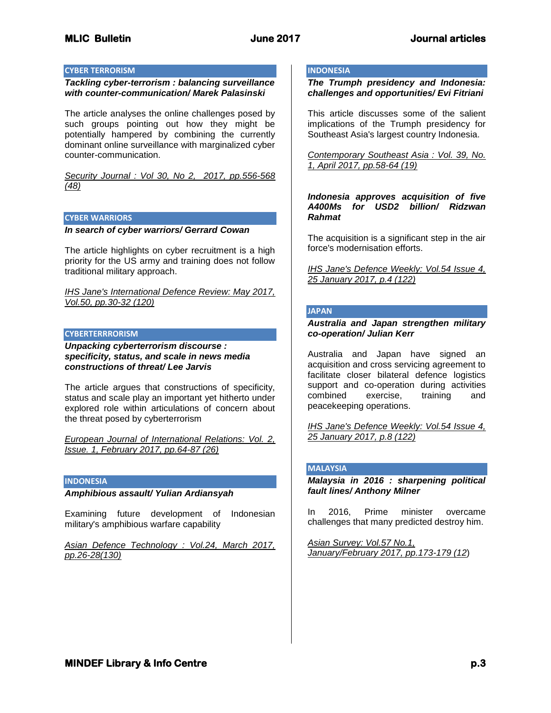#### **CYBER TERRORISM**

#### *Tackling cyber-terrorism : balancing surveillance with counter-communication/ Marek Palasinski*

The article analyses the online challenges posed by such groups pointing out how they might be potentially hampered by combining the currently dominant online surveillance with marginalized cyber counter-communication.

*Security Journal : Vol 30, No 2, 2017, pp.556-568 (48)*

#### **CYBER WARRIORS**

# *In search of cyber warriors/ Gerrard Cowan*

The article highlights on cyber recruitment is a high priority for the US army and training does not follow traditional military approach.

*IHS Jane's International Defence Review: May 2017, Vol.50, pp.30-32 (120)*

#### **CYBERTERRRORISM**

*Unpacking cyberterrorism discourse : specificity, status, and scale in news media constructions of threat/ Lee Jarvis*

The article argues that constructions of specificity, status and scale play an important yet hitherto under explored role within articulations of concern about the threat posed by cyberterrorism

*European Journal of International Relations: Vol. 2, Issue. 1, February 2017, pp.64-87 (26)*

# **INDONESIA**

#### *Amphibious assault/ Yulian Ardiansyah*

Examining future development of Indonesian military's amphibious warfare capability

*Asian Defence Technology : Vol.24, March 2017, pp.26-28(130)*

# **INDONESIA**

*The Trumph presidency and Indonesia: challenges and opportunities/ Evi Fitriani*

This article discusses some of the salient implications of the Trumph presidency for Southeast Asia's largest country Indonesia.

*Contemporary Southeast Asia : Vol. 39, No. 1, April 2017, pp.58-64 (19)*

*Indonesia approves acquisition of five A400Ms for USD2 billion/ Ridzwan Rahmat*

The acquisition is a significant step in the air force's modernisation efforts.

*IHS Jane's Defence Weekly: Vol.54 Issue 4, 25 January 2017, p.4 (122)*

#### **JAPAN**

*Australia and Japan strengthen military co-operation/ Julian Kerr*

Australia and Japan have signed an acquisition and cross servicing agreement to facilitate closer bilateral defence logistics support and co-operation during activities combined exercise, training and peacekeeping operations.

*IHS Jane's Defence Weekly: Vol.54 Issue 4, 25 January 2017, p.8 (122)*

#### **MALAYSIA**

*Malaysia in 2016 : sharpening political fault lines/ Anthony Milner*

In 2016, Prime minister overcame challenges that many predicted destroy him.

*Asian Survey: Vol.57 No.1, January/February 2017, pp.173-179 (12*)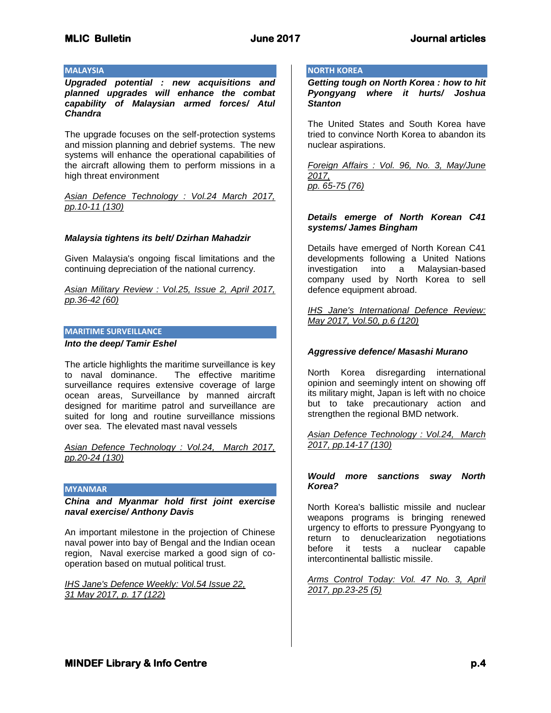### **MALAYSIA**

*Upgraded potential : new acquisitions and planned upgrades will enhance the combat capability of Malaysian armed forces/ Atul Chandra*

The upgrade focuses on the self-protection systems and mission planning and debrief systems. The new systems will enhance the operational capabilities of the aircraft allowing them to perform missions in a high threat environment

*Asian Defence Technology : Vol.24 March 2017, pp.10-11 (130)*

#### *Malaysia tightens its belt/ Dzirhan Mahadzir*

Given Malaysia's ongoing fiscal limitations and the continuing depreciation of the national currency.

*Asian Military Review : Vol.25, Issue 2, April 2017, pp.36-42 (60)*

#### **MARITIME SURVEILLANCE**

#### *Into the deep/ Tamir Eshel*

The article highlights the maritime surveillance is key to naval dominance. The effective maritime surveillance requires extensive coverage of large ocean areas, Surveillance by manned aircraft designed for maritime patrol and surveillance are suited for long and routine surveillance missions over sea. The elevated mast naval vessels

*Asian Defence Technology : Vol.24, March 2017, pp.20-24 (130)*

#### **MYANMAR**

*China and Myanmar hold first joint exercise naval exercise/ Anthony Davis*

An important milestone in the projection of Chinese naval power into bay of Bengal and the Indian ocean region, Naval exercise marked a good sign of cooperation based on mutual political trust.

*IHS Jane's Defence Weekly: Vol.54 Issue 22, 31 May 2017, p. 17 (122)*

# **NORTH KOREA**

*Getting tough on North Korea : how to hit Pyongyang where it hurts/ Joshua Stanton*

The United States and South Korea have tried to convince North Korea to abandon its nuclear aspirations.

*Foreign Affairs : Vol. 96, No. 3, May/June 2017, pp. 65-75 (76)*

# *Details emerge of North Korean C41 systems/ James Bingham*

Details have emerged of North Korean C41 developments following a United Nations investigation into a Malaysian-based company used by North Korea to sell defence equipment abroad.

*IHS Jane's International Defence Review: May 2017, Vol.50, p.6 (120)*

#### *Aggressive defence/ Masashi Murano*

North Korea disregarding international opinion and seemingly intent on showing off its military might, Japan is left with no choice but to take precautionary action and strengthen the regional BMD network.

*Asian Defence Technology : Vol.24, March 2017, pp.14-17 (130)*

#### *Would more sanctions sway North Korea?*

North Korea's ballistic missile and nuclear weapons programs is bringing renewed urgency to efforts to pressure Pyongyang to return to denuclearization negotiations before it tests a nuclear capable intercontinental ballistic missile.

*Arms Control Today: Vol. 47 No. 3, April 2017, pp.23-25 (5)*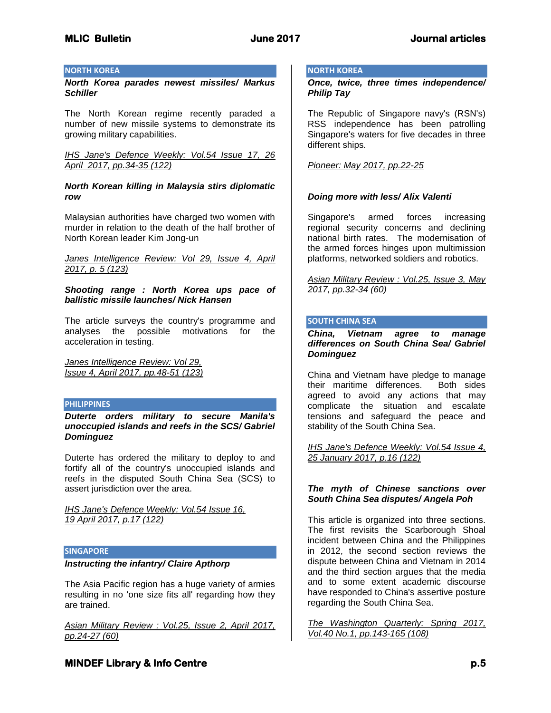# **NORTH KOREA**

*North Korea parades newest missiles/ Markus Schiller*

The North Korean regime recently paraded a number of new missile systems to demonstrate its growing military capabilities.

*IHS Jane's Defence Weekly: Vol.54 Issue 17, 26 April 2017, pp.34-35 (122)*

# *North Korean killing in Malaysia stirs diplomatic row*

Malaysian authorities have charged two women with murder in relation to the death of the half brother of North Korean leader Kim Jong-un

*Janes Intelligence Review: Vol 29, Issue 4, April 2017, p. 5 (123)*

*Shooting range : North Korea ups pace of ballistic missile launches/ Nick Hansen*

The article surveys the country's programme and analyses the possible motivations for the acceleration in testing.

*Janes Intelligence Review: Vol 29, Issue 4, April 2017, pp.48-51 (123)*

# **PHILIPPINES**

*Duterte orders military to secure Manila's unoccupied islands and reefs in the SCS/ Gabriel Dominguez*

Duterte has ordered the military to deploy to and fortify all of the country's unoccupied islands and reefs in the disputed South China Sea (SCS) to assert jurisdiction over the area.

*IHS Jane's Defence Weekly: Vol.54 Issue 16, 19 April 2017, p.17 (122)*

#### **SINGAPORE**

#### *Instructing the infantry/ Claire Apthorp*

The Asia Pacific region has a huge variety of armies resulting in no 'one size fits all' regarding how they are trained.

*Asian Military Review : Vol.25, Issue 2, April 2017, pp.24-27 (60)*

# **NORTH KOREA**

*Once, twice, three times independence/ Philip Tay*

The Republic of Singapore navy's (RSN's) RSS independence has been patrolling Singapore's waters for five decades in three different ships.

*Pioneer: May 2017, pp.22-25*

# *Doing more with less/ Alix Valenti*

Singapore's armed forces increasing regional security concerns and declining national birth rates. The modernisation of the armed forces hinges upon multimission platforms, networked soldiers and robotics.

*Asian Military Review : Vol.25, Issue 3, May 2017, pp.32-34 (60)*

# **SOUTH CHINA SEA**

*China, Vietnam agree to manage differences on South China Sea/ Gabriel Dominguez*

China and Vietnam have pledge to manage their maritime differences. Both sides agreed to avoid any actions that may complicate the situation and escalate tensions and safeguard the peace and stability of the South China Sea.

*IHS Jane's Defence Weekly: Vol.54 Issue 4, 25 January 2017, p.16 (122)*

# *The myth of Chinese sanctions over South China Sea disputes/ Angela Poh*

This article is organized into three sections. The first revisits the Scarborough Shoal incident between China and the Philippines in 2012, the second section reviews the dispute between China and Vietnam in 2014 and the third section argues that the media and to some extent academic discourse have responded to China's assertive posture regarding the South China Sea.

*The Washington Quarterly: Spring 2017, Vol.40 No.1, pp.143-165 (108)*

# **MINDEF Library & Info Centre** *p.5* $p.5$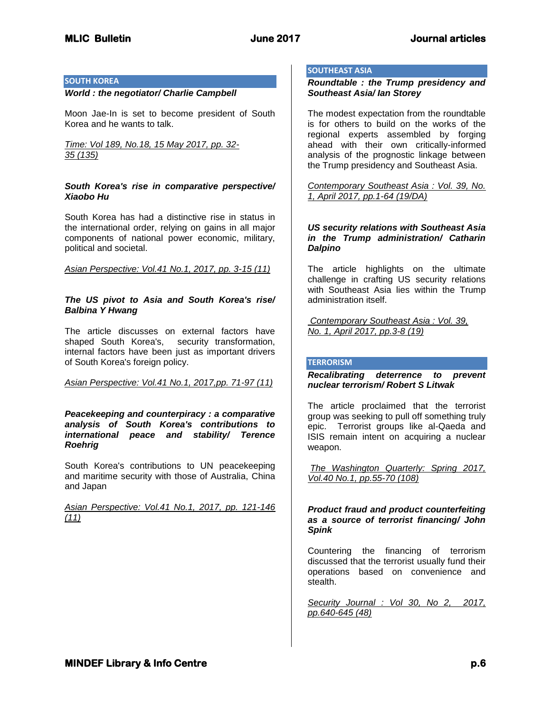# **SOUTH KOREA**

#### *World : the negotiator/ Charlie Campbell*

Moon Jae-In is set to become president of South Korea and he wants to talk.

*Time: Vol 189, No.18, 15 May 2017, pp. 32- 35 (135)*

# *South Korea's rise in comparative perspective/ Xiaobo Hu*

South Korea has had a distinctive rise in status in the international order, relying on gains in all major components of national power economic, military, political and societal.

*Asian Perspective: Vol.41 No.1, 2017, pp. 3-15 (11)*

# *The US pivot to Asia and South Korea's rise/ Balbina Y Hwang*

The article discusses on external factors have shaped South Korea's, security transformation, internal factors have been just as important drivers of South Korea's foreign policy.

*Asian Perspective: Vol.41 No.1, 2017,pp. 71-97 (11)*

*Peacekeeping and counterpiracy : a comparative analysis of South Korea's contributions to international peace and stability/ Terence Roehrig*

South Korea's contributions to UN peacekeeping and maritime security with those of Australia, China and Japan

*Asian Perspective: Vol.41 No.1, 2017, pp. 121-146 (11)*

# **SOUTHEAST ASIA**

*Roundtable : the Trump presidency and Southeast Asia/ Ian Storey*

The modest expectation from the roundtable is for others to build on the works of the regional experts assembled by forging ahead with their own critically-informed analysis of the prognostic linkage between the Trump presidency and Southeast Asia.

*Contemporary Southeast Asia : Vol. 39, No. 1, April 2017, pp.1-64 (19/DA)*

#### *US security relations with Southeast Asia in the Trump administration/ Catharin Dalpino*

The article highlights on the ultimate challenge in crafting US security relations with Southeast Asia lies within the Trump administration itself.

*Contemporary Southeast Asia : Vol. 39, No. 1, April 2017, pp.3-8 (19)*

#### **TERRORISM**

*Recalibrating deterrence to prevent nuclear terrorism/ Robert S Litwak*

The article proclaimed that the terrorist group was seeking to pull off something truly epic. Terrorist groups like al-Qaeda and ISIS remain intent on acquiring a nuclear weapon.

*The Washington Quarterly: Spring 2017, Vol.40 No.1, pp.55-70 (108)*

*Product fraud and product counterfeiting as a source of terrorist financing/ John Spink*

Countering the financing of terrorism discussed that the terrorist usually fund their operations based on convenience and stealth.

*Security Journal : Vol 30, No 2, 2017, pp.640-645 (48)*